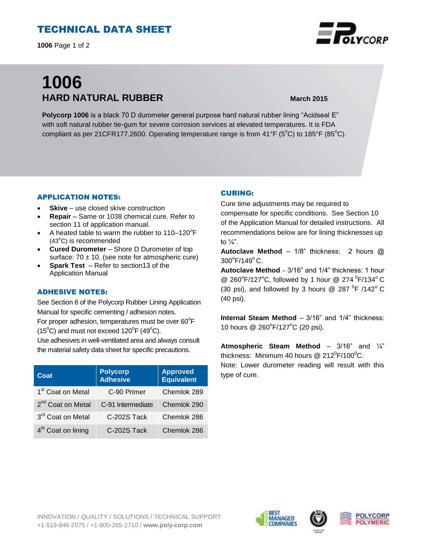# TECHNICAL DATA SHEET

**1006** Page 1 of 2

# **1006 HARD NATURAL RUBBER March 2015**

**Polycorp 1006** is a black 70 D durometer general purpose hard natural rubber lining "Acidseal E" with soft natural rubber tie-gum for severe corrosion services at elevated temperatures. It is FDA compliant as per 21CFR177.2600. Operating temperature range is from  $41^{\circ}F$  (5<sup>o</sup>C) to 185<sup>o</sup>F (85<sup>o</sup>C).

#### APPLICATION NOTES:

- **Skive** use closed skive construction
- **Repair**  Same or 1038 chemical cure. Refer to section 11 of application manual.
- A heated table to warm the rubber to  $110-120^{\circ}F$  $(43^{\circ}C)$  is recommended
- **Cured Durometer** Shore D Durometer of top surface:  $70 \pm 10$ . (see note for atmospheric cure)
- **Spark Test**  Refer to section13 of the Application Manual

### ADHESIVE NOTES:

See Section 6 of the Polycorp Rubber Lining Application Manual for specific cementing / adhesion notes. For proper adhesion, temperatures must be over  $60^{\circ}$ F  $(15^{\circ}C)$  and must not exceed  $120^{\circ}F(49^{\circ}C)$ .

Use adhesives in well-ventilated area and always consult the material safety data sheet for specific precautions.

| Coat                           | <b>Polycorp</b><br><b>Adhesive</b> | <b>Approved</b><br><b>Equivalent</b> |
|--------------------------------|------------------------------------|--------------------------------------|
| 1 <sup>st</sup> Coat on Metal  | C-90 Primer                        | Chemlok 289                          |
| 2 <sup>nd</sup> Coat on Metal  | C-91 Intermediate                  | Chemlok 290                          |
| 3rd Coat on Metal              | C-202S Tack                        | Chemlok 286                          |
| 4 <sup>th</sup> Coat on lining | C-202S Tack                        | Chemlok 286                          |

### CURING:

Cure time adjustments may be required to compensate for specific conditions. See Section 10 of the Application Manual for detailed instructions. All recommendations below are for lining thicknesses up to  $\frac{1}{4}$ ".

**Autoclave Method** – 1/8" thickness: 2 hours @ 300°F/149°C.

**Autoclave Method** – 3/16" and 1/4" thickness: 1 hour @ 260°F/127°C, followed by 1 hour @ 274  $\mathrm{^0F/134}$ °C (30 psi), and followed by 3 hours @ 287  $^0$ F /142 $^{\circ}$ C (40 psi).

**Internal Steam Method** – 3/16" and 1/4" thickness: 10 hours @ 260°F/127°C (20 psi).

**Atmospheric Steam Method** – 3/16" and ¼" thickness: Minimum 40 hours @ 212 $\rm{^0F/100^0C}$ . Note: Lower durometer reading will result with this type of cure.